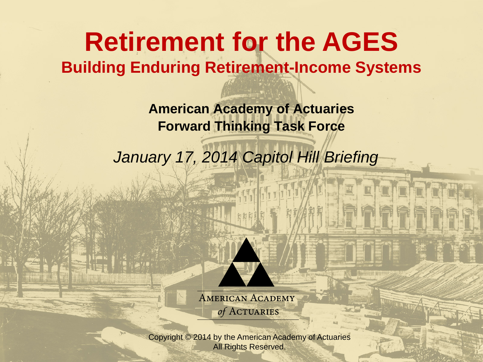### **Retirement for the AGES Building Enduring Retirement-Income Systems**

**American Academy of Actuaries Forward Thinking Task Force**

*January 17, 2014 Capitol Hill Briefing*



**AMERICAN ACADEMY** of ACTUARIES

Copyright © 2013 by the American Academy of Actuaries Copyright © 2014 by the American Academy of Actuaries All Rights Reserved. All Rights Reserved.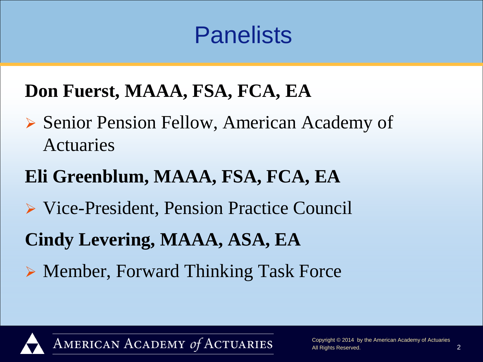## **Panelists**

#### **Don Fuerst, MAAA, FSA, FCA, EA**

- ▶ Senior Pension Fellow, American Academy of Actuaries
- **Eli Greenblum, MAAA, FSA, FCA, EA**
- Vice-President, Pension Practice Council
- **Cindy Levering, MAAA, ASA, EA**
- ▶ Member, Forward Thinking Task Force

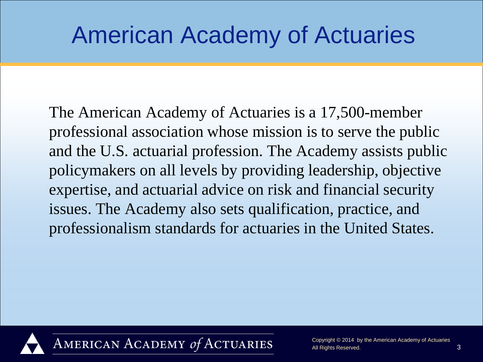## American Academy of Actuaries

The American Academy of Actuaries is a 17,500-member professional association whose mission is to serve the public and the U.S. actuarial profession. The Academy assists public policymakers on all levels by providing leadership, objective expertise, and actuarial advice on risk and financial security issues. The Academy also sets qualification, practice, and professionalism standards for actuaries in the United States.

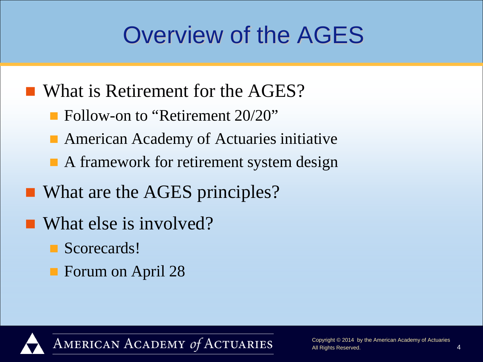## Overview of the AGES

- What is Retirement for the AGES?
	- **Follow-on to "Retirement 20/20"**
	- American Academy of Actuaries initiative
	- A framework for retirement system design
- What are the AGES principles?
- What else is involved?
	- Scorecards!
	- Forum on April 28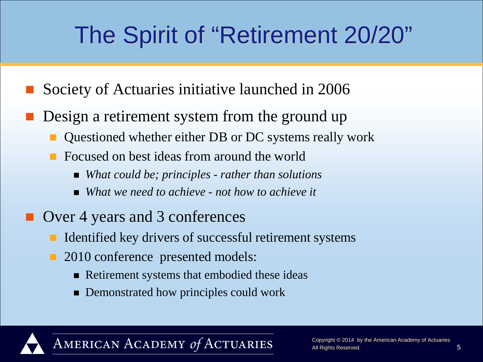## The Spirit of "Retirement 20/20"

- Society of Actuaries initiative launched in 2006
- Design a retirement system from the ground up
	- Questioned whether either DB or DC systems really work
	- Focused on best ideas from around the world
		- *What could be; principles - rather than solutions*
		- *What we need to achieve - not how to achieve it*
- Over 4 years and 3 conferences
	- Identified key drivers of successful retirement systems
	- 2010 conference presented models:
		- Retirement systems that embodied these ideas
		- **Demonstrated how principles could work**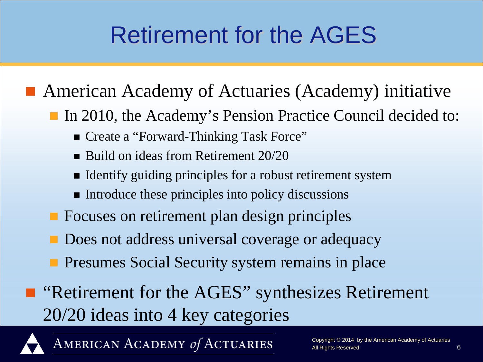## Retirement for the AGES

#### ■ American Academy of Actuaries (Academy) initiative

In 2010, the Academy's Pension Practice Council decided to:

- Create a "Forward-Thinking Task Force"
- Build on ideas from Retirement 20/20
- Identify guiding principles for a robust retirement system
- $\blacksquare$  Introduce these principles into policy discussions
- **Focuses on retirement plan design principles**
- Does not address universal coverage or adequacy
- **Presumes Social Security system remains in place**
- "Retirement for the AGES" synthesizes Retirement 20/20 ideas into 4 key categories

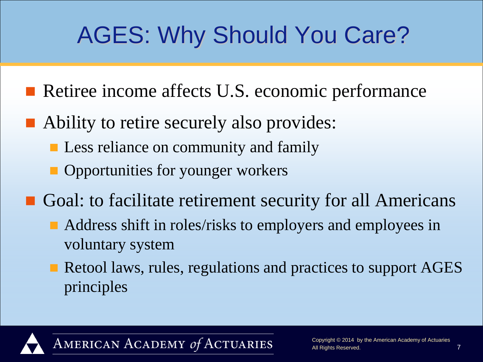- Retiree income affects U.S. economic performance
- Ability to retire securely also provides:
	- **Less reliance on community and family**
	- **Opportunities for younger workers**
- Goal: to facilitate retirement security for all Americans
	- Address shift in roles/risks to employers and employees in voluntary system
	- Retool laws, rules, regulations and practices to support AGES principles

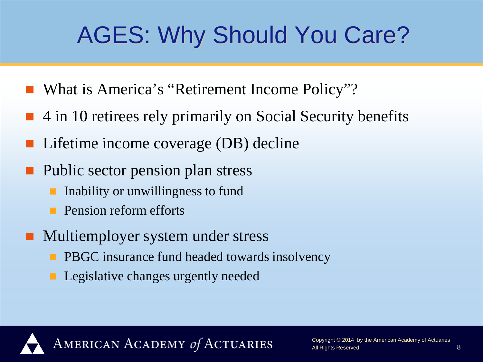- What is America's "Retirement Income Policy"?
- 4 in 10 retirees rely primarily on Social Security benefits
- Lifetime income coverage (DB) decline
- **Public sector pension plan stress** 
	- Inability or unwillingness to fund
	- Pension reform efforts
- Multiemployer system under stress
	- PBGC insurance fund headed towards insolvency
	- Legislative changes urgently needed

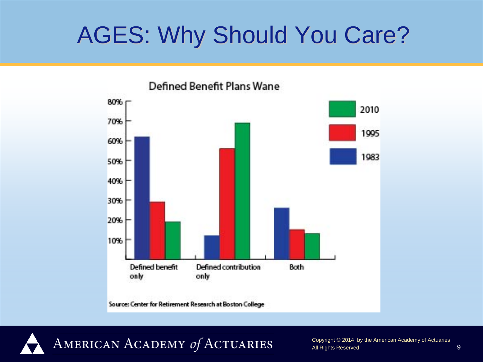

AMERICAN ACADEMY of ACTUARIES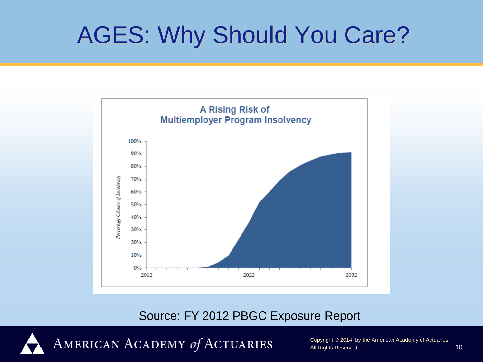

#### Source: FY 2012 PBGC Exposure Report

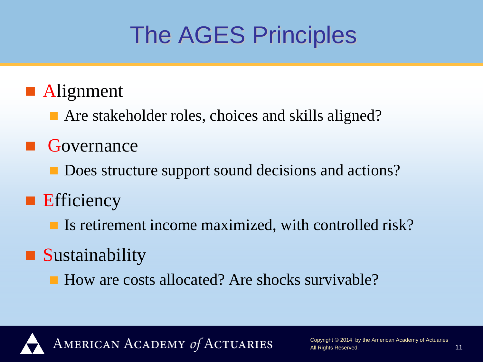## The AGES Principles

#### **Alignment**

■ Are stakeholder roles, choices and skills aligned?

#### **Governance**

- Does structure support sound decisions and actions?
- **E**fficiency
	- If Is retirement income maximized, with controlled risk?

### **Sustainability**

■ How are costs allocated? Are shocks survivable?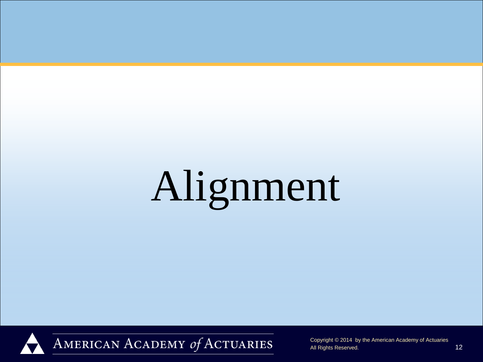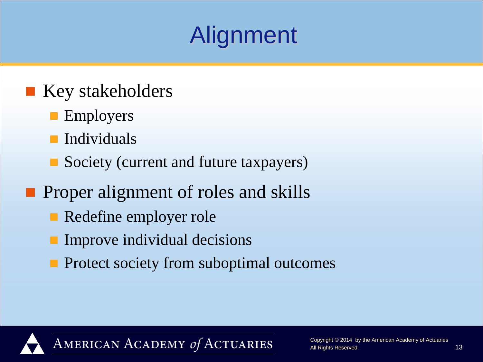#### **Key stakeholders**

- **Employers**
- Individuals
- Society (current and future taxpayers)

#### **Proper alignment of roles and skills**

- Redefine employer role
- Improve individual decisions
- **Protect society from suboptimal outcomes**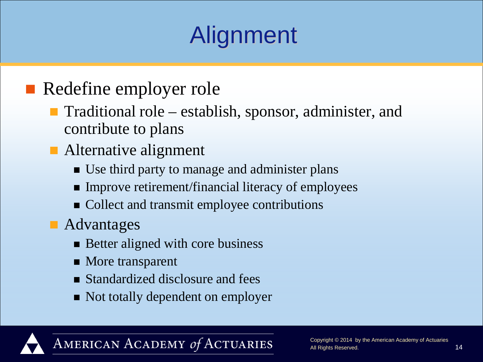#### Redefine employer role

- Traditional role establish, sponsor, administer, and contribute to plans
- Alternative alignment
	- Use third party to manage and administer plans
	- **Improve retirement/financial literacy of employees**
	- Collect and transmit employee contributions
- **Advantages** 
	- **Better aligned with core business**
	- More transparent
	- Standardized disclosure and fees
	- Not totally dependent on employer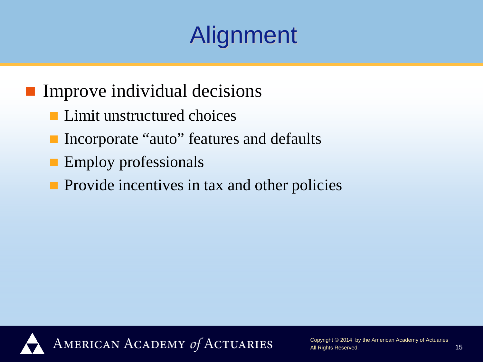#### **Improve individual decisions**

- **Limit unstructured choices**
- Incorporate "auto" features and defaults
- **Employ professionals**
- **Provide incentives in tax and other policies**

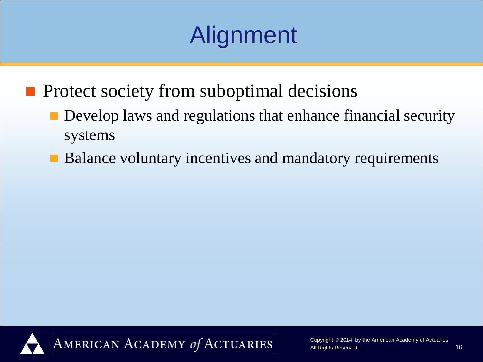**Protect society from suboptimal decisions** 

- Develop laws and regulations that enhance financial security systems
- Balance voluntary incentives and mandatory requirements

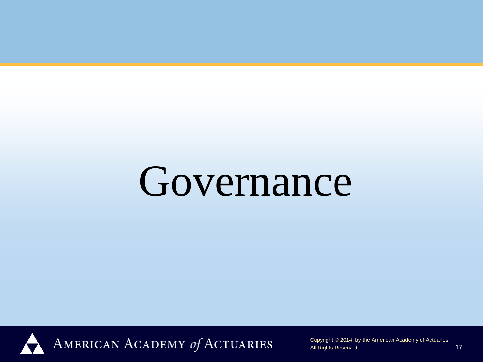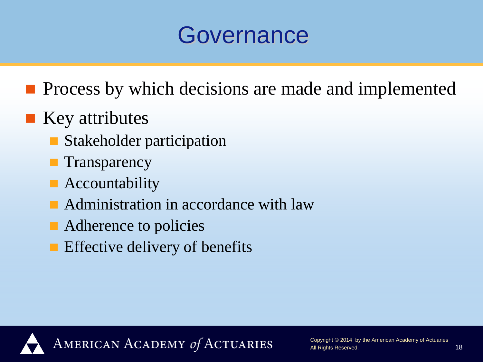**Process by which decisions are made and implemented** 

#### $\blacksquare$  Key attributes

- Stakeholder participation
- **Transparency**
- **Accountability**
- **Administration in accordance with law**
- Adherence to policies
- **Effective delivery of benefits**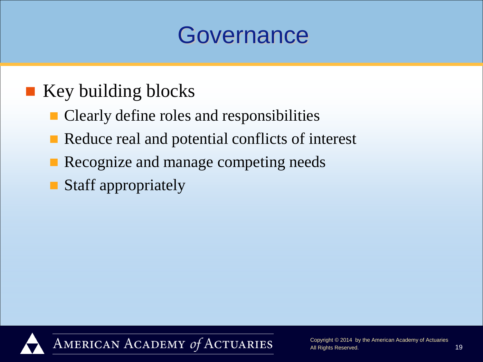#### ■ Key building blocks

- Clearly define roles and responsibilities
- Reduce real and potential conflicts of interest
- Recognize and manage competing needs
- Staff appropriately

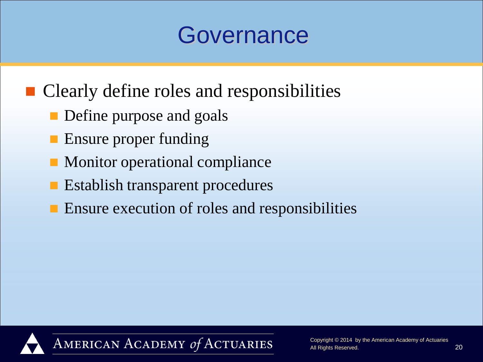■ Clearly define roles and responsibilities

- **Define purpose and goals**
- Ensure proper funding
- **Monitor operational compliance**
- **Establish transparent procedures**
- **E** Ensure execution of roles and responsibilities

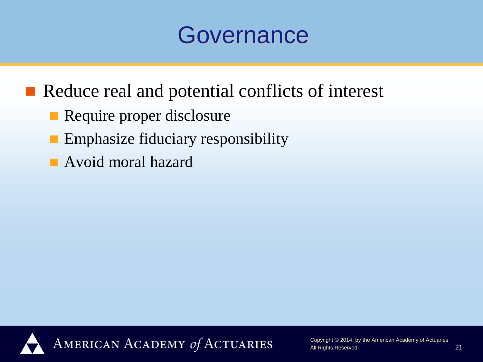Reduce real and potential conflicts of interest

- Require proper disclosure
- **Emphasize fiduciary responsibility**
- **Avoid moral hazard**

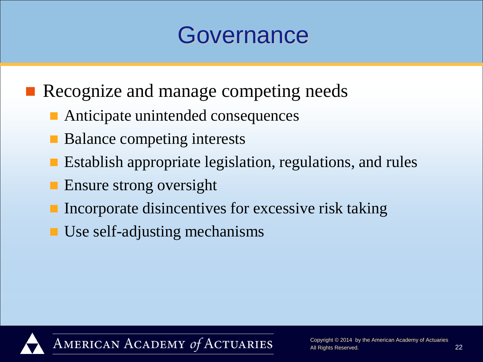- Recognize and manage competing needs
	- Anticipate unintended consequences
	- Balance competing interests
	- Establish appropriate legislation, regulations, and rules
	- **Ensure strong oversight**
	- Incorporate disincentives for excessive risk taking
	- Use self-adjusting mechanisms

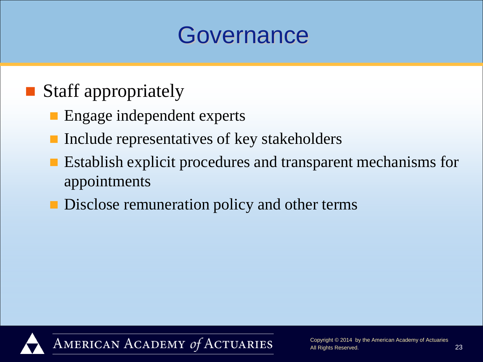### ■ Staff appropriately

- **Engage independent experts**
- Include representatives of key stakeholders
- **Establish explicit procedures and transparent mechanisms for** appointments
- **Disclose remuneration policy and other terms**

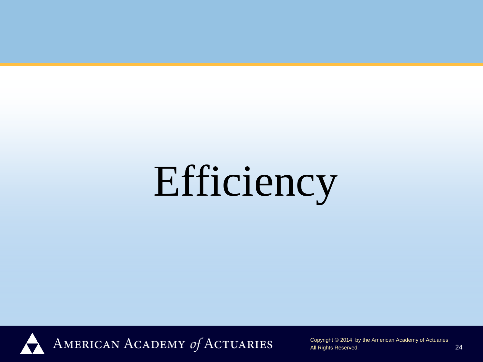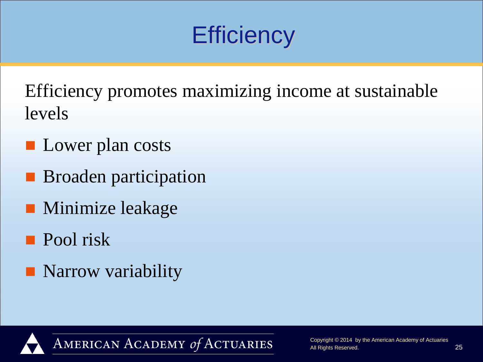Efficiency promotes maximizing income at sustainable levels

- **Lower plan costs**
- **Broaden participation**
- **Minimize leakage**
- **Pool** risk
- **Narrow variability**

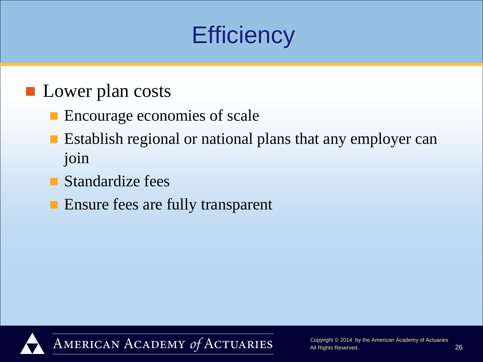#### **Lower plan costs**

- **Encourage economies of scale**
- **Example 1** Establish regional or national plans that any employer can join
- **Standardize fees**
- **Ensure fees are fully transparent**

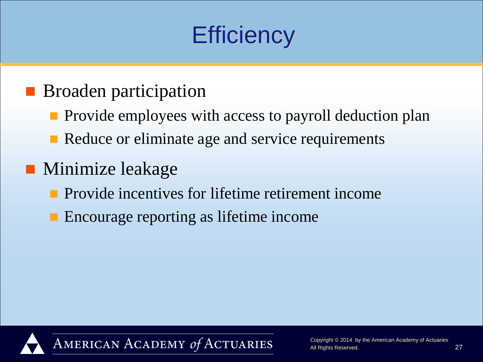#### **Broaden participation**

- **Provide employees with access to payroll deduction plan**
- Reduce or eliminate age and service requirements
- **Minimize leakage** 
	- **Provide incentives for lifetime retirement income**
	- **Encourage reporting as lifetime income**

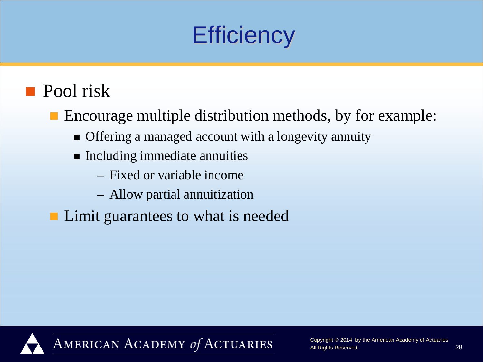#### **Pool** risk

■ Encourage multiple distribution methods, by for example:

- Offering a managed account with a longevity annuity
- **Including immediate annuities** 
	- Fixed or variable income
	- Allow partial annuitization
- Limit guarantees to what is needed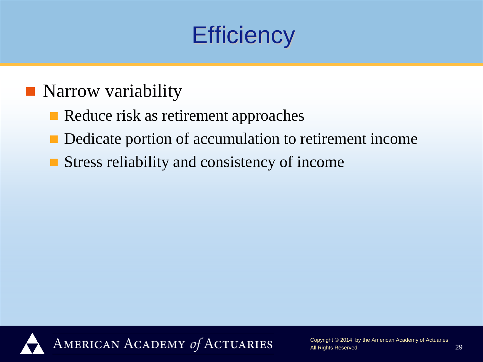#### **Narrow variability**

- Reduce risk as retirement approaches
- Dedicate portion of accumulation to retirement income
- Stress reliability and consistency of income

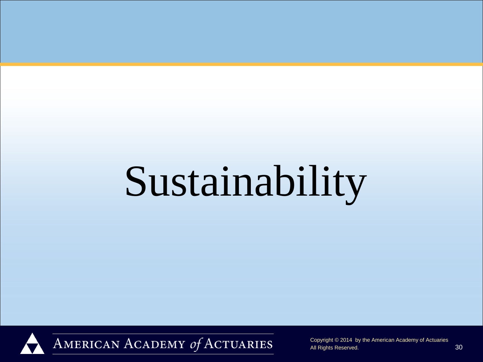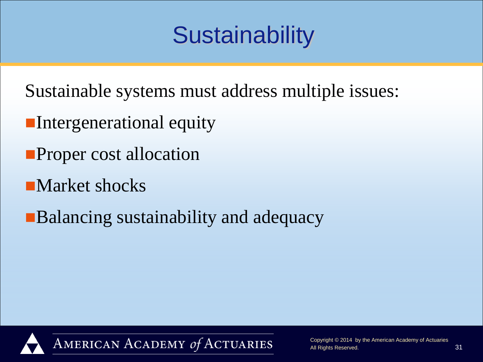Sustainable systems must address multiple issues:

- **Intergenerational equity**
- **Proper cost allocation**
- **Narket shocks**
- **Balancing sustainability and adequacy**

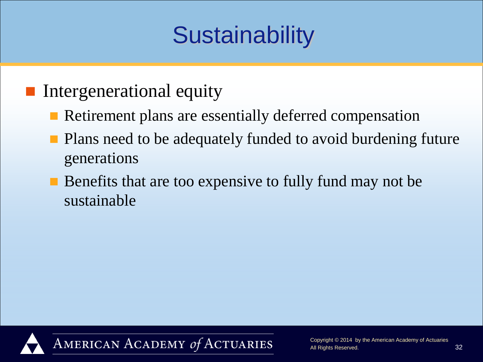#### **Intergenerational equity**

- Retirement plans are essentially deferred compensation
- Plans need to be adequately funded to avoid burdening future generations
- Benefits that are too expensive to fully fund may not be sustainable

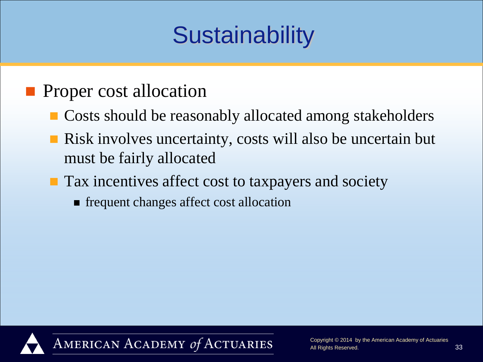#### **Proper cost allocation**

- Costs should be reasonably allocated among stakeholders
- Risk involves uncertainty, costs will also be uncertain but must be fairly allocated
- **Tax incentives affect cost to taxpayers and society** 
	- **Figure 1** frequent changes affect cost allocation

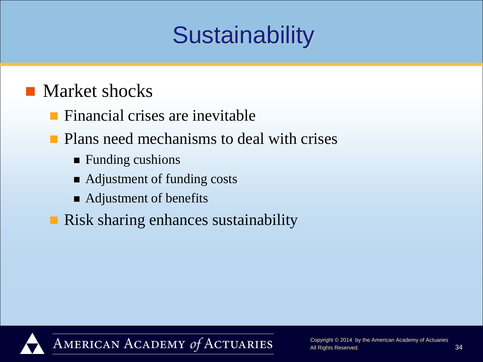#### **Market shocks**

- $\blacksquare$  Financial crises are inevitable
- **Plans need mechanisms to deal with crises** 
	- **Funding cushions**
	- Adjustment of funding costs
	- Adjustment of benefits
- **Risk sharing enhances sustainability**

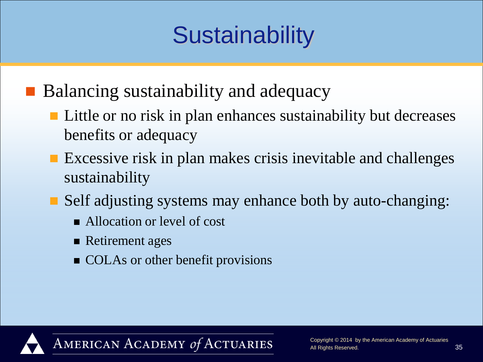**Balancing sustainability and adequacy** 

- **Little or no risk in plan enhances sustainability but decreases** benefits or adequacy
- Excessive risk in plan makes crisis inevitable and challenges sustainability
- Self adjusting systems may enhance both by auto-changing:
	- Allocation or level of cost
	- Retirement ages
	- COLAs or other benefit provisions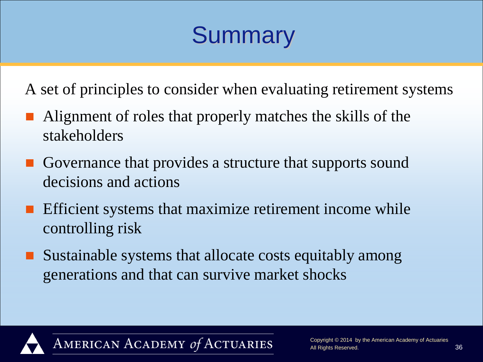## **Summary**

A set of principles to consider when evaluating retirement systems

- Alignment of roles that properly matches the skills of the stakeholders
- Governance that provides a structure that supports sound decisions and actions
- Efficient systems that maximize retirement income while controlling risk
- Sustainable systems that allocate costs equitably among generations and that can survive market shocks

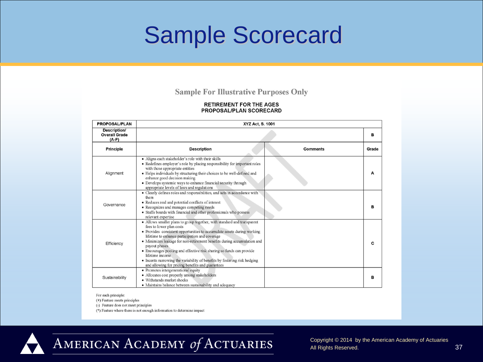## Sample Scorecard

#### **Sample For Illustrative Purposes Only**

#### **RETIREMENT FOR THE AGES** PROPOSAL/PLAN SCORECARD

| <b>PROPOSAL/PLAN</b>                            | XYZ Act, S. 1001                                                                                                                                                                                                                                                                                                                                                                                                                                                                                                                                         |                 |       |
|-------------------------------------------------|----------------------------------------------------------------------------------------------------------------------------------------------------------------------------------------------------------------------------------------------------------------------------------------------------------------------------------------------------------------------------------------------------------------------------------------------------------------------------------------------------------------------------------------------------------|-----------------|-------|
| Description/<br><b>Overall Grade</b><br>$(A-F)$ |                                                                                                                                                                                                                                                                                                                                                                                                                                                                                                                                                          |                 | в     |
| <b>Principle</b>                                | <b>Description</b>                                                                                                                                                                                                                                                                                                                                                                                                                                                                                                                                       | <b>Comments</b> | Grade |
| Alignment                                       | · Aligns each stakeholder's role with their skills<br>• Redefines employer's role by placing responsibility for important roles<br>with those appropriate entities<br>· Helps individuals by structuring their choices to be well-defined and<br>enhance good decision making<br>· Develops systemic ways to enhance financial security through<br>appropriate levels of laws and regulations                                                                                                                                                            |                 | A     |
| Governance                                      | · Clearly defines roles and responsibilities, and acts in accordance with<br>them<br>• Reduces real and potential conflicts of interest<br>• Recognizes and manages competing needs<br>· Staffs boards with financial and other professionals who possess<br>relevant expertise                                                                                                                                                                                                                                                                          |                 | в     |
| Efficiency                                      | • Allows smaller plans to group together, with standard and transparent<br>fees to lower plan costs<br>• Provides consistent opportunities to accumulate assets during working<br>lifetime to enhance participation and coverage<br>• Minimizes leakage for non-retirement benefits during accumulation and<br>payout phases<br>• Encourages pooling and effective risk sharing so funds can provide<br>lifetime income<br>• Incents narrowing the variability of benefits by fostering risk hedging<br>and allowing for pricing benefits and guarantees |                 | c     |
| Sustainability                                  | · Promotes intergenerational equity<br>· Allocates cost properly among stakeholders<br>· Withstands market shocks<br>• Maintains balance between sustainability and adequacy                                                                                                                                                                                                                                                                                                                                                                             |                 | в     |

For each principle:

(+) Feature meets principles

(-) Feature does not meet principles

(\*) Feature where there is not enough information to determine impact



AMERICAN ACADEMY of ACTUARIES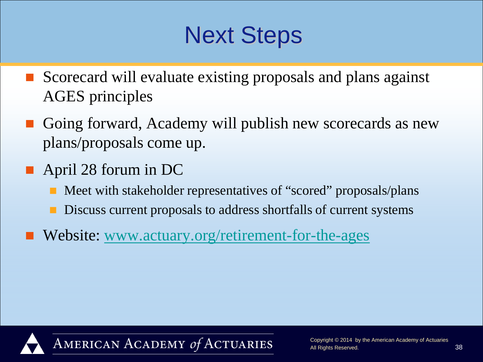## Next Steps

- Scorecard will evaluate existing proposals and plans against AGES principles
- Going forward, Academy will publish new scorecards as new plans/proposals come up.
- April 28 forum in DC
	- Meet with stakeholder representatives of "scored" proposals/plans
	- Discuss current proposals to address shortfalls of current systems
- Website: [www.actuary.org/retirement-for-the-ages](http://www.actuary.org/retirement-for-the-ages)

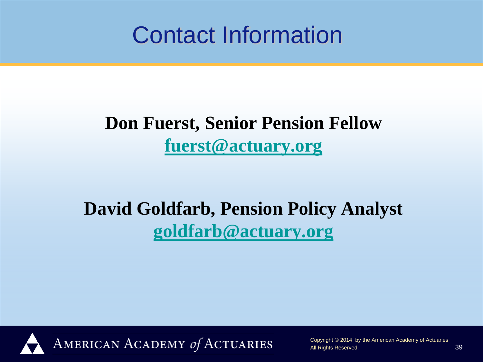## Contact Information

#### **Don Fuerst, Senior Pension Fellow [fuerst@actuary.org](mailto:fuerst@actuary.org)**

### **David Goldfarb, Pension Policy Analyst [goldfarb@actuary.org](mailto:goldfarb@actuary.org)**